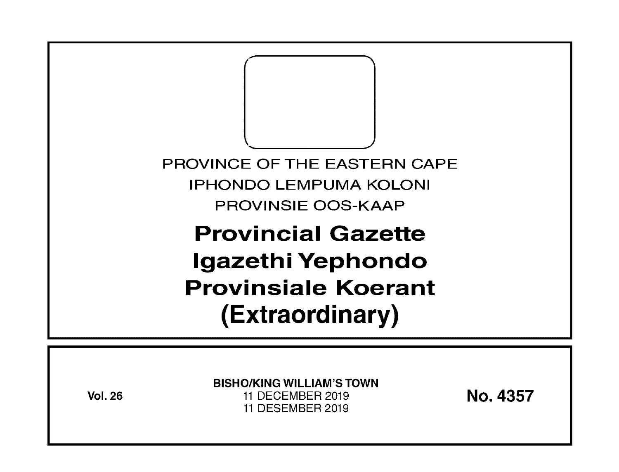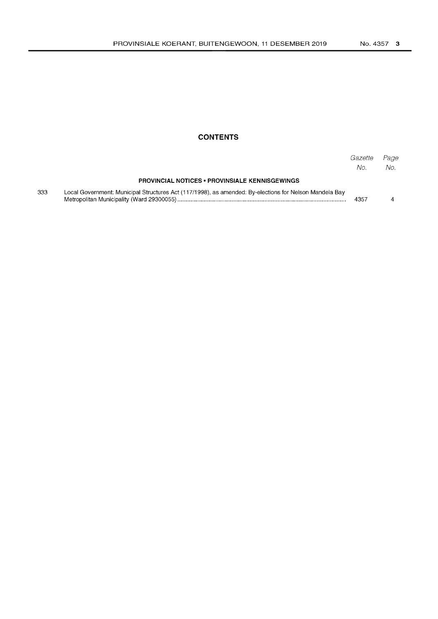### **CONTENTS**

|     |                                                                                                        | Gazette<br>No. | Page<br>No. |
|-----|--------------------------------------------------------------------------------------------------------|----------------|-------------|
|     | <b>PROVINCIAL NOTICES • PROVINSIALE KENNISGEWINGS</b>                                                  |                |             |
| 333 | Local Government: Municipal Structures Act (117/1998), as amended: By-elections for Nelson Mandela Bay | 4357           |             |